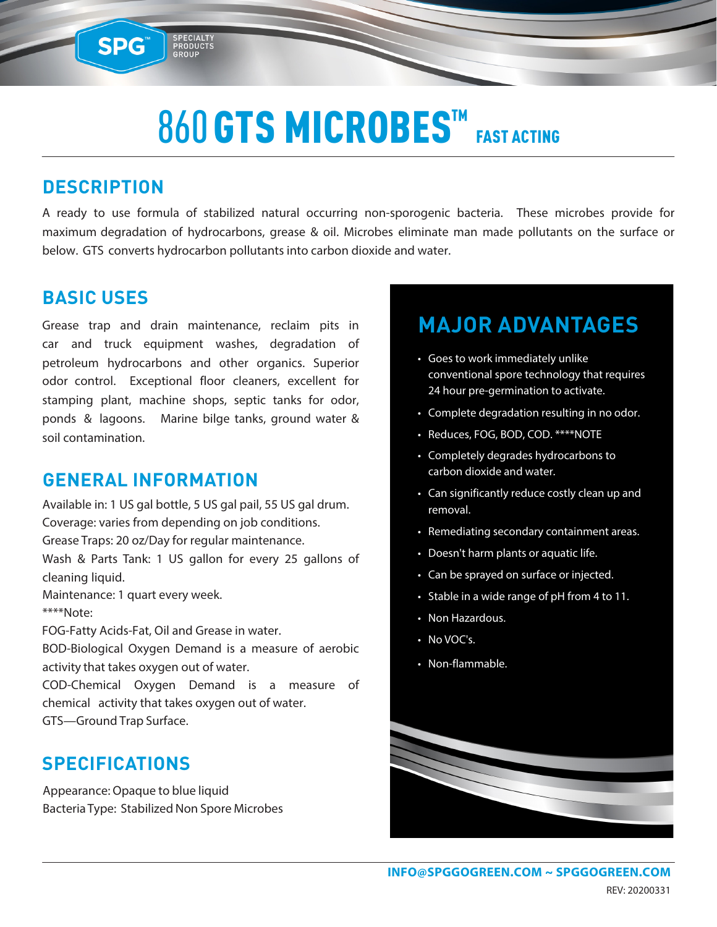### 860 GTS MICROBES™ FAST ACTING

#### **DESCRIPTION**

**SPG™** 

SPECIALTY<br>PRODUCTS<br>GROUP

A ready to use formula of stabilized natural occurring non-sporogenic bacteria. These microbes provide for maximum degradation of hydrocarbons, grease & oil. Microbes eliminate man made pollutants on the surface or below. GTS converts hydrocarbon pollutants into carbon dioxide and water.

#### **BASIC USES**

Grease trap and drain maintenance, reclaim pits in car and truck equipment washes, degradation of petroleum hydrocarbons and other organics. Superior odor control. Exceptional floor cleaners, excellent for stamping plant, machine shops, septic tanks for odor, ponds & lagoons. Marine bilge tanks, ground water & soil contamination.

#### **GENERAL INFORMATION**

Available in: 1 US gal bottle, 5 US gal pail, 55 US gal drum. Coverage: varies from depending on job conditions. Grease Traps: 20 oz/Day for regular maintenance. Wash & Parts Tank: 1 US gallon for every 25 gallons of cleaning liquid. Maintenance: 1 quart every week. \*\*\*\*Note:

FOG-Fatty Acids-Fat, Oil and Grease in water.

BOD-Biological Oxygen Demand is a measure of aerobic activity that takes oxygen out of water.

COD-Chemical Oxygen Demand is a measure of chemical activity that takes oxygen out of water. GTS—Ground Trap Surface.

#### **SPECIFICATIONS**

Appearance: Opaque to blue liquid Bacteria Type: Stabilized Non Spore Microbes

### **MAJOR ADVANTAGES**

- Goes to work immediately unlike conventional spore technology that requires 24 hour pre-germination to activate.
- Complete degradation resulting in no odor.
- Reduces, FOG, BOD, COD. \*\*\*\*NOTE
- Completely degrades hydrocarbons to carbon dioxide and water.
- Can significantly reduce costly clean up and removal.
- Remediating secondary containment areas.
- Doesn't harm plants or aquatic life.
- Can be sprayed on surface or injected.
- Stable in a wide range of pH from 4 to 11.
- Non Hazardous.
- No VOC's.
- Non-flammable.

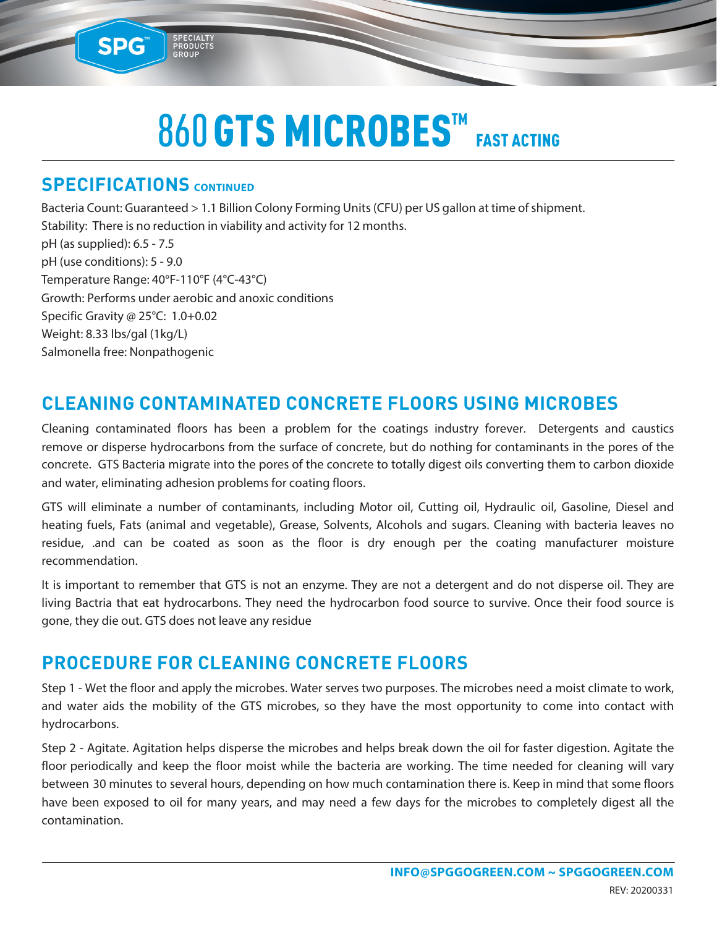## 860 GTS MICROBES™ FAST ACTING

#### **SPECIFICATIONS CONTINUED**

SPG™

SPECIALTY<br>PRODUCTS<br>GROUP

Bacteria Count: Guaranteed > 1.1 Billion Colony Forming Units (CFU) per US gallon at time of shipment. Stability: There is no reduction in viability and activity for 12 months. pH (as supplied): 6.5 - 7.5 pH (use conditions): 5 - 9.0 Temperature Range: 40°F-110°F (4°C-43°C) Growth: Performs under aerobic and anoxic conditions Specific Gravity @ 25°C: 1.0+0.02 Weight: 8.33 lbs/gal (1kg/L) Salmonella free: Nonpathogenic

#### **CLEANING CONTAMINATED CONCRETE FLOORS USING MICROBES**

Cleaning contaminated floors has been a problem for the coatings industry forever. Detergents and caustics remove or disperse hydrocarbons from the surface of concrete, but do nothing for contaminants in the pores of the concrete. GTS Bacteria migrate into the pores of the concrete to totally digest oils converting them to carbon dioxide and water, eliminating adhesion problems for coating floors.

GTS will eliminate a number of contaminants, including Motor oil, Cutting oil, Hydraulic oil, Gasoline, Diesel and heating fuels, Fats (animal and vegetable), Grease, Solvents, Alcohols and sugars. Cleaning with bacteria leaves no residue, .and can be coated as soon as the floor is dry enough per the coating manufacturer moisture recommendation.

It is important to remember that GTS is not an enzyme. They are not a detergent and do not disperse oil. They are living Bactria that eat hydrocarbons. They need the hydrocarbon food source to survive. Once their food source is gone, they die out. GTS does not leave any residue

#### **PROCEDURE FOR CLEANING CONCRETE FLOORS**

Step 1 - Wet the floor and apply the microbes. Water serves two purposes. The microbes need a moist climate to work, and water aids the mobility of the GTS microbes, so they have the most opportunity to come into contact with hydrocarbons.

Step 2 - Agitate. Agitation helps disperse the microbes and helps break down the oil for faster digestion. Agitate the floor periodically and keep the floor moist while the bacteria are working. The time needed for cleaning will vary between 30 minutes to several hours, depending on how much contamination there is. Keep in mind that some floors have been exposed to oil for many years, and may need a few days for the microbes to completely digest all the contamination.